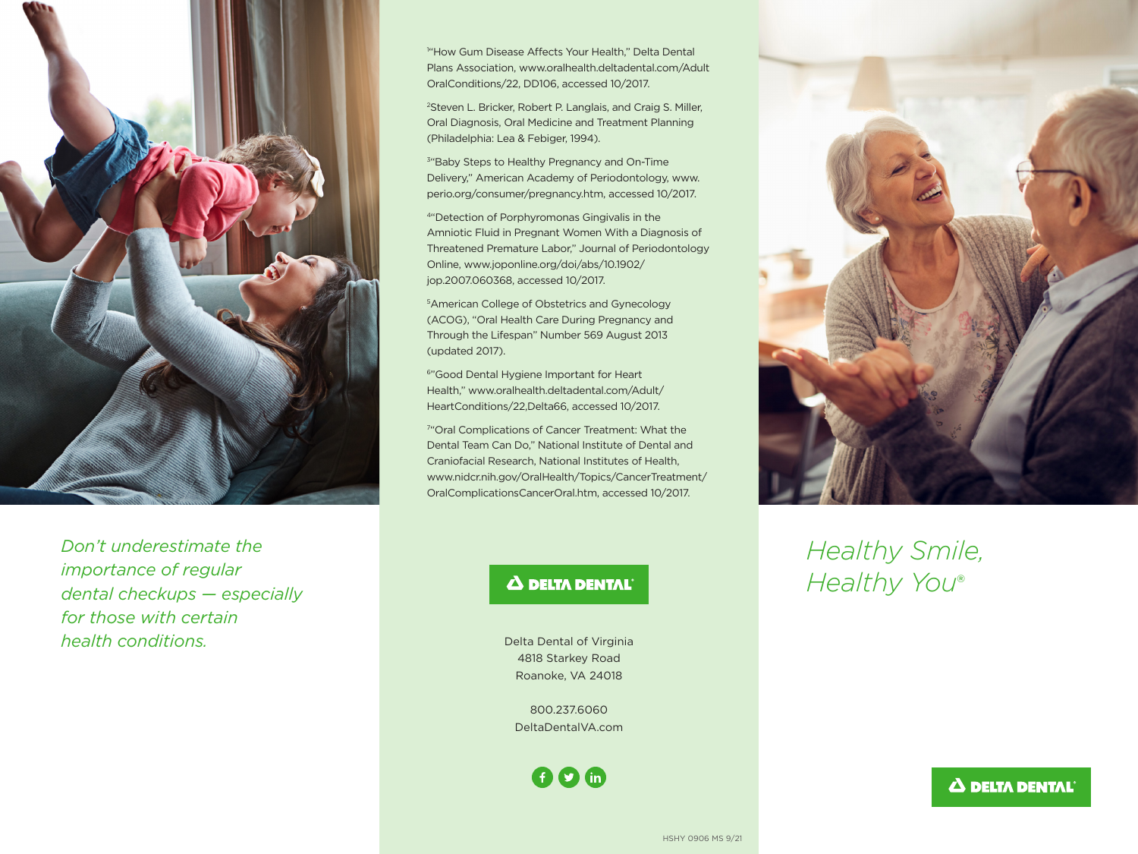

*Don't underestimate the importance of regular dental checkups — especially for those with certain health conditions.*

1 "How Gum Disease Affects Your Health," Delta Dental Plans Association, www.oralhealth.deltadental.com/Adult OralConditions/22, DD106, accessed 10/2017.

2Steven L. Bricker, Robert P. Langlais, and Craig S. Miller, Oral Diagnosis, Oral Medicine and Treatment Planning (Philadelphia: Lea & Febiger, 1994).

<sup>3</sup>"Baby Steps to Healthy Pregnancy and On-Time Delivery," American Academy of Periodontology, www. perio.org/consumer/pregnancy.htm, accessed 10/2017.

4"Detection of Porphyromonas Gingivalis in the Amniotic Fluid in Pregnant Women With a Diagnosis of Threatened Premature Labor," Journal of Periodontology Online, www.joponline.org/doi/abs/10.1902/ jop.2007.060368, accessed 10/2017.

5American College of Obstetrics and Gynecology (ACOG), "Oral Health Care During Pregnancy and Through the Lifespan" Number 569 August 2013 (updated 2017).

6"Good Dental Hygiene Important for Heart Health," www.oralhealth.deltadental.com/Adult/ HeartConditions/22,Delta66, accessed 10/2017.

7 "Oral Complications of Cancer Treatment: What the Dental Team Can Do," National Institute of Dental and Craniofacial Research, National Institutes of Health, www.nidcr.nih.gov/OralHealth/Topics/CancerTreatment/ OralComplicationsCancerOral.htm, accessed 10/2017.

## **A DELTA DENTAL**

Delta Dental of Virginia 4818 Starkey Road Roanoke, VA 24018

800.237.6060 DeltaDentalVA.com

 $60<sup>°</sup>$ 



# *Healthy Smile, Healthy You*®

### **A DELTA DENTAL**